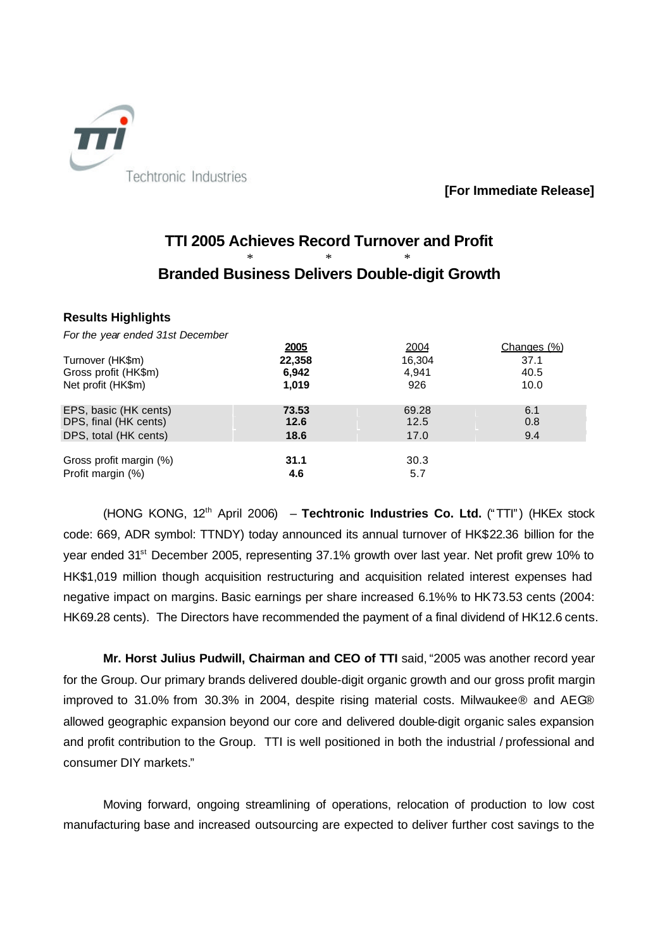

**[For Immediate Release]**

## **TTI 2005 Achieves Record Turnover and Profit** \* \* \* **Branded Business Delivers Double-digit Growth**

#### **Results Highlights**

*For the year ended 31st December* 

|                         | <u>2005</u> | 2004   | Changes (%) |
|-------------------------|-------------|--------|-------------|
| Turnover (HK\$m)        | 22,358      | 16.304 | 37.1        |
| Gross profit (HK\$m)    | 6,942       | 4.941  | 40.5        |
| Net profit (HK\$m)      | 1,019       | 926    | 10.0        |
| EPS, basic (HK cents)   | 73.53       | 69.28  | 6.1         |
| DPS, final (HK cents)   | 12.6        | 12.5   | 0.8         |
| DPS, total (HK cents)   | 18.6        | 17.0   | 9.4         |
|                         |             |        |             |
| Gross profit margin (%) | 31.1        | 30.3   |             |
| Profit margin (%)       | 4.6         | 5.7    |             |

(HONG KONG, 12th April 2006) – **Techtronic Industries Co. Ltd.** ("TTI") (HKEx stock code: 669, ADR symbol: TTNDY) today announced its annual turnover of HK\$22.36 billion for the year ended 31<sup>st</sup> December 2005, representing 37.1% growth over last year. Net profit grew 10% to HK\$1,019 million though acquisition restructuring and acquisition related interest expenses had negative impact on margins. Basic earnings per share increased 6.1%% to HK73.53 cents (2004: HK69.28 cents). The Directors have recommended the payment of a final dividend of HK12.6 cents.

**Mr. Horst Julius Pudwill, Chairman and CEO of TTI** said, "2005 was another record year for the Group. Our primary brands delivered double-digit organic growth and our gross profit margin improved to 31.0% from 30.3% in 2004, despite rising material costs. Milwaukee® and AEG® allowed geographic expansion beyond our core and delivered double-digit organic sales expansion and profit contribution to the Group. TTI is well positioned in both the industrial / professional and consumer DIY markets."

Moving forward, ongoing streamlining of operations, relocation of production to low cost manufacturing base and increased outsourcing are expected to deliver further cost savings to the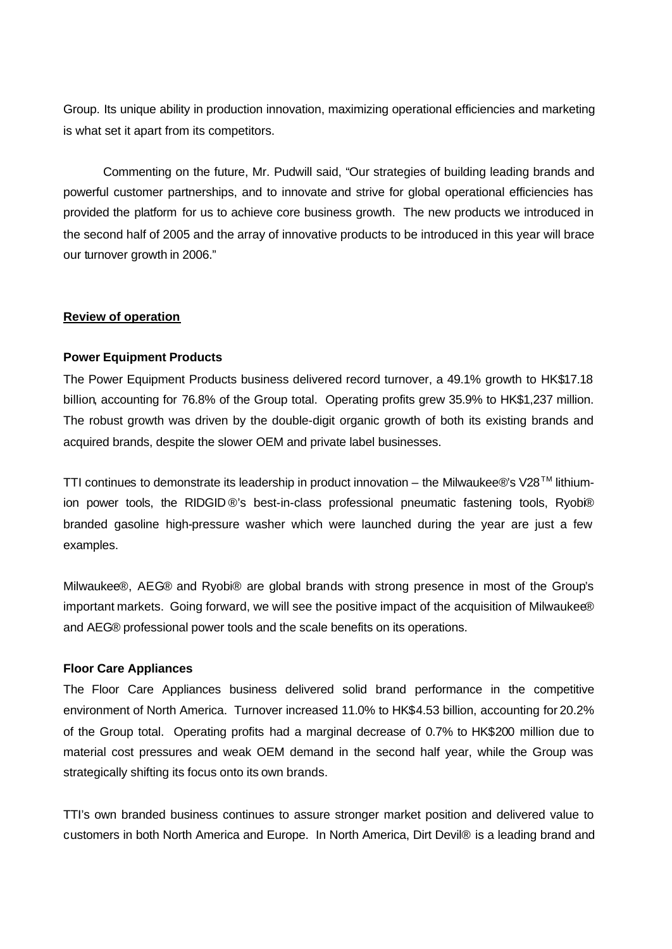Group. Its unique ability in production innovation, maximizing operational efficiencies and marketing is what set it apart from its competitors.

Commenting on the future, Mr. Pudwill said, "Our strategies of building leading brands and powerful customer partnerships, and to innovate and strive for global operational efficiencies has provided the platform for us to achieve core business growth. The new products we introduced in the second half of 2005 and the array of innovative products to be introduced in this year will brace our turnover growth in 2006."

#### **Review of operation**

#### **Power Equipment Products**

The Power Equipment Products business delivered record turnover, a 49.1% growth to HK\$17.18 billion, accounting for 76.8% of the Group total. Operating profits grew 35.9% to HK\$1,237 million. The robust growth was driven by the double-digit organic growth of both its existing brands and acquired brands, despite the slower OEM and private label businesses.

TTI continues to demonstrate its leadership in product innovation – the Milwaukee®'s V28<sup>TM</sup> lithiumion power tools, the RIDGID ®'s best-in-class professional pneumatic fastening tools, Ryobi® branded gasoline high-pressure washer which were launched during the year are just a few examples.

Milwaukee® , AEG® and Ryobi® are global brands with strong presence in most of the Group's important markets. Going forward, we will see the positive impact of the acquisition of Milwaukee® and AEG® professional power tools and the scale benefits on its operations.

#### **Floor Care Appliances**

The Floor Care Appliances business delivered solid brand performance in the competitive environment of North America. Turnover increased 11.0% to HK\$4.53 billion, accounting for 20.2% of the Group total. Operating profits had a marginal decrease of 0.7% to HK\$200 million due to material cost pressures and weak OEM demand in the second half year, while the Group was strategically shifting its focus onto its own brands.

TTI's own branded business continues to assure stronger market position and delivered value to customers in both North America and Europe. In North America, Dirt Devil® is a leading brand and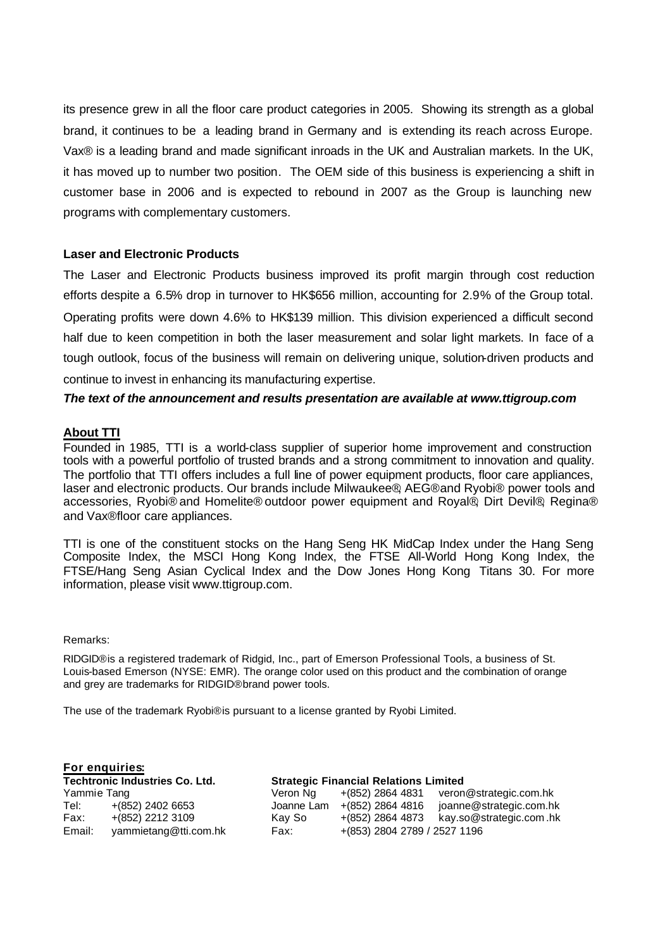its presence grew in all the floor care product categories in 2005. Showing its strength as a global brand, it continues to be a leading brand in Germany and is extending its reach across Europe. Vax® is a leading brand and made significant inroads in the UK and Australian markets. In the UK, it has moved up to number two position. The OEM side of this business is experiencing a shift in customer base in 2006 and is expected to rebound in 2007 as the Group is launching new programs with complementary customers.

#### **Laser and Electronic Products**

The Laser and Electronic Products business improved its profit margin through cost reduction efforts despite a 6.5% drop in turnover to HK\$656 million, accounting for 2.9% of the Group total. Operating profits were down 4.6% to HK\$139 million. This division experienced a difficult second half due to keen competition in both the laser measurement and solar light markets. In face of a tough outlook, focus of the business will remain on delivering unique, solution-driven products and continue to invest in enhancing its manufacturing expertise.

*The text of the announcement and results presentation are available at www.ttigroup.com* 

#### **About TTI**

Founded in 1985, TTI is a world-class supplier of superior home improvement and construction tools with a powerful portfolio of trusted brands and a strong commitment to innovation and quality. The portfolio that TTI offers includes a full line of power equipment products, floor care appliances, laser and electronic products. Our brands include Milwaukee®, AEG® and Ryobi® power tools and accessories, Ryobi® and Homelite® outdoor power equipment and Royal®, Dirt Devil®, Regina® and Vax® floor care appliances.

TTI is one of the constituent stocks on the Hang Seng HK MidCap Index under the Hang Seng Composite Index, the MSCI Hong Kong Index, the FTSE All-World Hong Kong Index, the FTSE/Hang Seng Asian Cyclical Index and the Dow Jones Hong Kong Titans 30. For more information, please visit www.ttigroup.com.

#### Remarks:

RIDGID® is a registered trademark of Ridgid, Inc., part of Emerson Professional Tools, a business of St. Louis-based Emerson (NYSE: EMR). The orange color used on this product and the combination of orange and grey are trademarks for RIDGID® brand power tools.

The use of the trademark Ryobi® is pursuant to a license granted by Ryobi Limited.

|             | For enquiries:                        |            |                                              |                         |  |  |
|-------------|---------------------------------------|------------|----------------------------------------------|-------------------------|--|--|
|             | <b>Techtronic Industries Co. Ltd.</b> |            | <b>Strategic Financial Relations Limited</b> |                         |  |  |
| Yammie Tang |                                       | Veron Ng   | +(852) 2864 4831                             | veron@strategic.com.hk  |  |  |
| Tel:        | $+(852)$ 2402 6653                    | Joanne Lam | +(852) 2864 4816                             | joanne@strategic.com.hk |  |  |
| Fax:        | $+(852)$ 2212 3109                    | Kay So     | +(852) 2864 4873                             | kay.so@strategic.com.hk |  |  |
| Email:      | yammietang@tti.com.hk                 | Fax:       | +(853) 2804 2789 / 2527 1196                 |                         |  |  |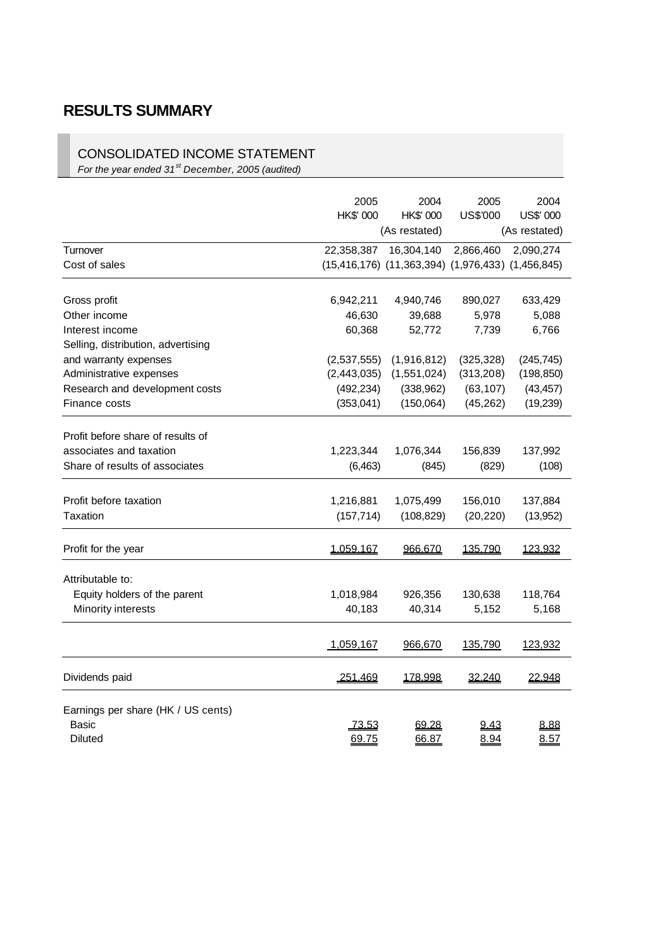# **RESULTS SUMMARY**

### CONSOLIDATED INCOME STATEMENT

*For the year ended 31st December, 2005 (audited)*

|                                                                                                     | 2005<br>HK\$' 000                                      | 2004<br>HK\$' 000<br>(As restated)                                      | 2005<br>US\$'000                                  | 2004<br>US\$' 000<br>(As restated)                 |
|-----------------------------------------------------------------------------------------------------|--------------------------------------------------------|-------------------------------------------------------------------------|---------------------------------------------------|----------------------------------------------------|
| Turnover<br>Cost of sales                                                                           | 22,358,387                                             | 16,304,140<br>$(15,416,176)$ $(11,363,394)$ $(1,976,433)$ $(1,456,845)$ | 2,866,460                                         | 2,090,274                                          |
| Gross profit<br>Other income                                                                        | 6,942,211<br>46,630                                    | 4,940,746<br>39,688                                                     | 890,027<br>5,978                                  | 633,429<br>5,088                                   |
| Interest income<br>Selling, distribution, advertising                                               | 60,368                                                 | 52,772                                                                  | 7,739                                             | 6,766                                              |
| and warranty expenses<br>Administrative expenses<br>Research and development costs<br>Finance costs | (2,537,555)<br>(2,443,035)<br>(492, 234)<br>(353, 041) | (1,916,812)<br>(1,551,024)<br>(338,962)<br>(150,064)                    | (325, 328)<br>(313,208)<br>(63, 107)<br>(45, 262) | (245, 745)<br>(198, 850)<br>(43, 457)<br>(19, 239) |
| Profit before share of results of<br>associates and taxation<br>Share of results of associates      | 1,223,344<br>(6, 463)                                  | 1,076,344<br>(845)                                                      | 156,839<br>(829)                                  | 137,992<br>(108)                                   |
| Profit before taxation<br>Taxation                                                                  | 1,216,881<br>(157, 714)                                | 1,075,499<br>(108, 829)                                                 | 156,010<br>(20, 220)                              | 137,884<br>(13,952)                                |
| Profit for the year                                                                                 | 1,059,167                                              | 966,670                                                                 | 135,790                                           | 123,932                                            |
| Attributable to:<br>Equity holders of the parent<br>Minority interests                              | 1,018,984<br>40,183                                    | 926,356<br>40,314                                                       | 130,638<br>5,152                                  | 118,764<br>5,168                                   |
|                                                                                                     | 1,059,167                                              | <u>966,670</u>                                                          | <u>135,790</u>                                    | <u>123,932</u>                                     |
| Dividends paid                                                                                      | <u>251.469</u>                                         | 178.998                                                                 | <u>32.240</u>                                     | 22.948                                             |
| Earnings per share (HK / US cents)<br>Basic<br><b>Diluted</b>                                       | <u>73.53</u><br>69.75                                  | <u>69.28</u><br>66.87                                                   | <u>9.43</u><br>8.94                               | 8.88<br>8.57                                       |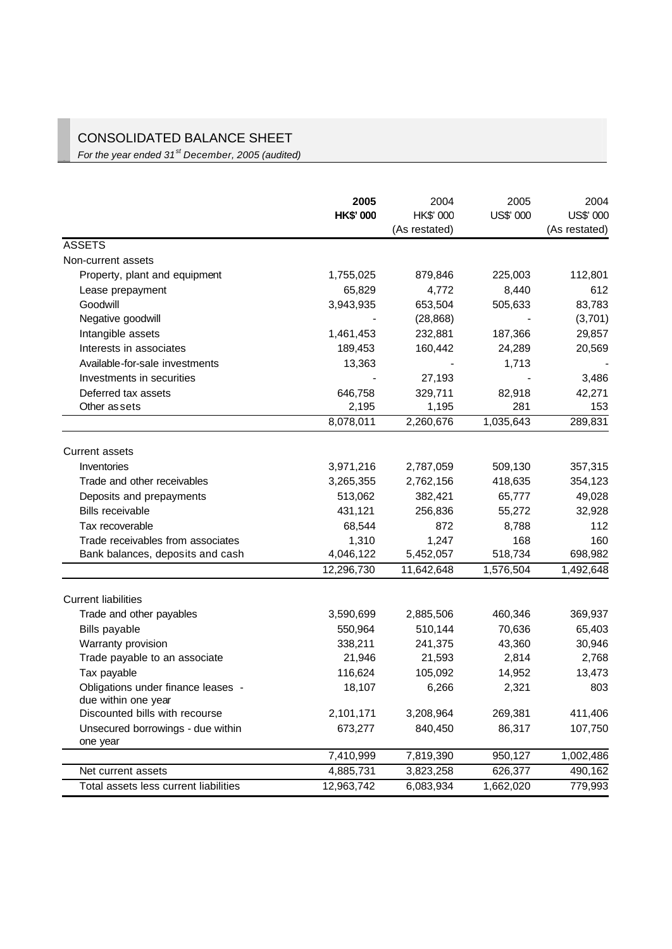## CONSOLIDATED BALANCE SHEET

*For the year ended 31st December, 2005 (audited)*

|                                       | 2005             | 2004          | 2005      | 2004          |
|---------------------------------------|------------------|---------------|-----------|---------------|
|                                       | <b>HK\$' 000</b> | HK\$' 000     | US\$' 000 | US\$' 000     |
|                                       |                  | (As restated) |           | (As restated) |
| <b>ASSETS</b>                         |                  |               |           |               |
| Non-current assets                    |                  |               |           |               |
| Property, plant and equipment         | 1,755,025        | 879,846       | 225,003   | 112,801       |
| Lease prepayment                      | 65,829           | 4,772         | 8,440     | 612           |
| Goodwill                              | 3,943,935        | 653,504       | 505,633   | 83,783        |
| Negative goodwill                     |                  | (28, 868)     |           | (3,701)       |
| Intangible assets                     | 1,461,453        | 232,881       | 187,366   | 29,857        |
| Interests in associates               | 189,453          | 160,442       | 24,289    | 20,569        |
| Available-for-sale investments        | 13,363           |               | 1,713     |               |
| Investments in securities             |                  | 27,193        |           | 3,486         |
| Deferred tax assets                   | 646,758          | 329,711       | 82,918    | 42,271        |
| Other as sets                         | 2,195            | 1,195         | 281       | 153           |
|                                       | 8,078,011        | 2,260,676     | 1,035,643 | 289,831       |
| <b>Current assets</b>                 |                  |               |           |               |
| Inventories                           | 3,971,216        | 2,787,059     | 509,130   | 357,315       |
| Trade and other receivables           | 3,265,355        | 2,762,156     | 418,635   | 354,123       |
| Deposits and prepayments              | 513,062          | 382,421       | 65,777    | 49,028        |
| <b>Bills receivable</b>               | 431,121          | 256,836       | 55,272    | 32,928        |
| Tax recoverable                       | 68,544           | 872           | 8,788     | 112           |
| Trade receivables from associates     | 1,310            | 1,247         | 168       | 160           |
| Bank balances, deposits and cash      | 4,046,122        | 5,452,057     | 518,734   | 698,982       |
|                                       | 12,296,730       | 11,642,648    | 1,576,504 | 1,492,648     |
| <b>Current liabilities</b>            |                  |               |           |               |
| Trade and other payables              | 3,590,699        | 2,885,506     | 460,346   | 369,937       |
| <b>Bills payable</b>                  | 550,964          | 510,144       | 70,636    | 65,403        |
| Warranty provision                    | 338,211          | 241,375       | 43,360    | 30,946        |
| Trade payable to an associate         | 21,946           | 21,593        | 2,814     | 2,768         |
| Tax payable                           | 116,624          | 105,092       | 14,952    | 13,473        |
| Obligations under finance leases -    | 18,107           | 6,266         | 2,321     | 803           |
| due within one year                   |                  |               |           |               |
| Discounted bills with recourse        | 2,101,171        | 3,208,964     | 269,381   | 411,406       |
| Unsecured borrowings - due within     | 673,277          | 840,450       | 86,317    | 107,750       |
| one year                              |                  |               |           |               |
|                                       | 7,410,999        | 7,819,390     | 950,127   | 1,002,486     |
| Net current assets                    | 4,885,731        | 3,823,258     | 626,377   | 490,162       |
| Total assets less current liabilities | 12,963,742       | 6,083,934     | 1,662,020 | 779,993       |